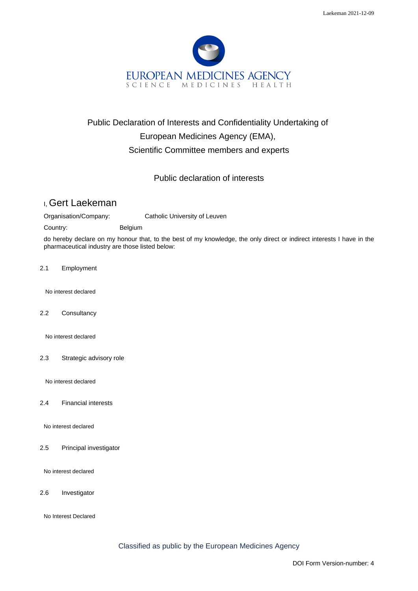

# Public Declaration of Interests and Confidentiality Undertaking of European Medicines Agency (EMA), Scientific Committee members and experts

## Public declaration of interests

# I, Gert Laekeman

Organisation/Company: Catholic University of Leuven

Country: Belgium

do hereby declare on my honour that, to the best of my knowledge, the only direct or indirect interests I have in the pharmaceutical industry are those listed below:

2.1 Employment

No interest declared

2.2 Consultancy

No interest declared

2.3 Strategic advisory role

No interest declared

2.4 Financial interests

No interest declared

2.5 Principal investigator

No interest declared

2.6 Investigator

No Interest Declared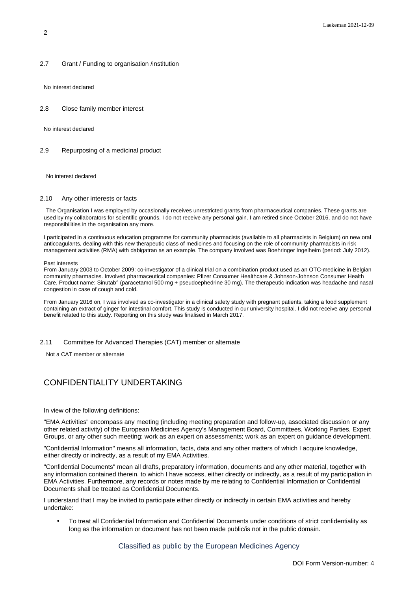#### 2.7 Grant / Funding to organisation /institution

No interest declared

#### 2.8 Close family member interest

No interest declared

### 2.9 Repurposing of a medicinal product

No interest declared

#### 2.10 Any other interests or facts

The Organisation I was employed by occasionally receives unrestricted grants from pharmaceutical companies. These grants are used by my collaborators for scientific grounds. I do not receive any personal gain. I am retired since October 2016, and do not have responsibilities in the organisation any more.

I participated in a continuous education programme for community pharmacists (available to all pharmacists in Belgium) on new oral anticoagulants, dealing with this new therapeutic class of medicines and focusing on the role of community pharmacists in risk management activities (RMA) with dabigatran as an example. The company involved was Boehringer Ingelheim (period: July 2012).

#### Past interests

From January 2003 to October 2009: co-investigator of a clinical trial on a combination product used as an OTC-medicine in Belgian community pharmacies. Involved pharmaceutical companies: Pfizer Consumer Healthcare & Johnson-Johnson Consumer Health Care. Product name: Sinutab° (paracetamol 500 mg + pseudoephedrine 30 mg). The therapeutic indication was headache and nasal congestion in case of cough and cold.

From January 2016 on, I was involved as co-investigator in a clinical safety study with pregnant patients, taking a food supplement containing an extract of ginger for intestinal comfort. This study is conducted in our university hospital. I did not receive any personal benefit related to this study. Reporting on this study was finalised in March 2017.

### 2.11 Committee for Advanced Therapies (CAT) member or alternate

Not a CAT member or alternate

### CONFIDENTIALITY UNDERTAKING

In view of the following definitions:

"EMA Activities" encompass any meeting (including meeting preparation and follow-up, associated discussion or any other related activity) of the European Medicines Agency's Management Board, Committees, Working Parties, Expert Groups, or any other such meeting; work as an expert on assessments; work as an expert on guidance development.

"Confidential Information" means all information, facts, data and any other matters of which I acquire knowledge, either directly or indirectly, as a result of my EMA Activities.

"Confidential Documents" mean all drafts, preparatory information, documents and any other material, together with any information contained therein, to which I have access, either directly or indirectly, as a result of my participation in EMA Activities. Furthermore, any records or notes made by me relating to Confidential Information or Confidential Documents shall be treated as Confidential Documents.

I understand that I may be invited to participate either directly or indirectly in certain EMA activities and hereby undertake:

• To treat all Confidential Information and Confidential Documents under conditions of strict confidentiality as long as the information or document has not been made public/is not in the public domain.

Classified as public by the European Medicines Agency